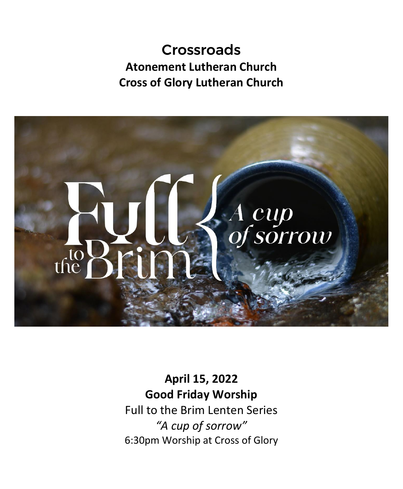# Crossroads **Atonement Lutheran Church Cross of Glory Lutheran Church**



**April 15, 2022 Good Friday Worship** Full to the Brim Lenten Series *"A cup of sorrow"* 6:30pm Worship at Cross of Glory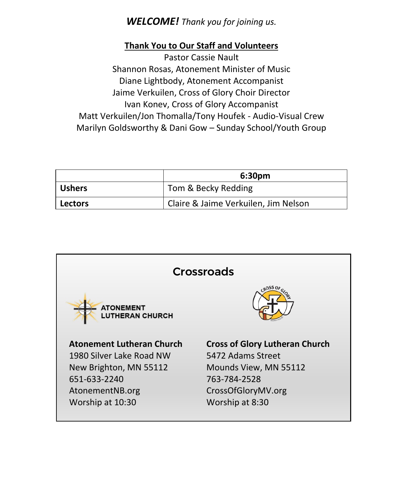## *WELCOME! Thank you for joining us.*

### **Thank You to Our Staff and Volunteers**

Pastor Cassie Nault Shannon Rosas, Atonement Minister of Music Diane Lightbody, Atonement Accompanist Jaime Verkuilen, Cross of Glory Choir Director Ivan Konev, Cross of Glory Accompanist Matt Verkuilen/Jon Thomalla/Tony Houfek - Audio-Visual Crew Marilyn Goldsworthy & Dani Gow – Sunday School/Youth Group

|                | 6:30 <sub>pm</sub>                   |
|----------------|--------------------------------------|
| <b>Ushers</b>  | Tom & Becky Redding                  |
| <b>Lectors</b> | Claire & Jaime Verkuilen, Jim Nelson |

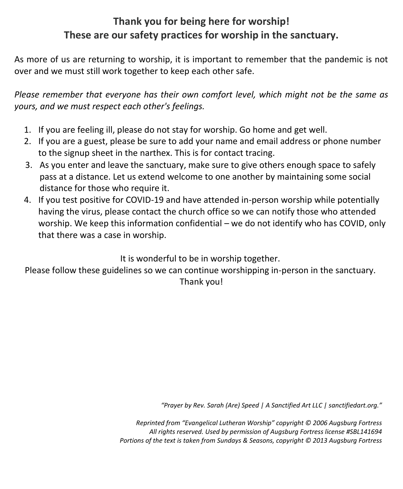## **Thank you for being here for worship! These are our safety practices for worship in the sanctuary.**

As more of us are returning to worship, it is important to remember that the pandemic is not over and we must still work together to keep each other safe.

*Please remember that everyone has their own comfort level, which might not be the same as yours, and we must respect each other's feelings.*

- 1. If you are feeling ill, please do not stay for worship. Go home and get well.
- 2. If you are a guest, please be sure to add your name and email address or phone number to the signup sheet in the narthex. This is for contact tracing.
- 3. As you enter and leave the sanctuary, make sure to give others enough space to safely pass at a distance. Let us extend welcome to one another by maintaining some social distance for those who require it.
- 4. If you test positive for COVID-19 and have attended in-person worship while potentially having the virus, please contact the church office so we can notify those who attended worship. We keep this information confidential – we do not identify who has COVID, only that there was a case in worship.

It is wonderful to be in worship together.

Please follow these guidelines so we can continue worshipping in-person in the sanctuary. Thank you!

*"Prayer by Rev. Sarah (Are) Speed | A Sanctified Art LLC | sanctifiedart.org."*

*Reprinted from "Evangelical Lutheran Worship" copyright © 2006 Augsburg Fortress All rights reserved. Used by permission of Augsburg Fortress license #SBL141694 Portions of the text is taken from Sundays & Seasons, copyright © 2013 Augsburg Fortress*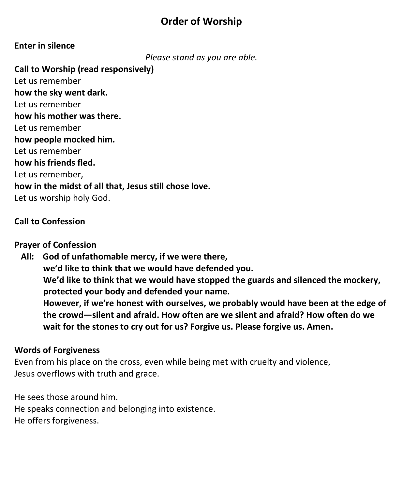## **Order of Worship**

## **Enter in silence**

*Please stand as you are able.*

**Call to Worship (read responsively)** Let us remember **how the sky went dark.** Let us remember **how his mother was there.** Let us remember **how people mocked him.** Let us remember **how his friends fled.** Let us remember, **how in the midst of all that, Jesus still chose love.** Let us worship holy God.

### **Call to Confession**

#### **Prayer of Confession**

 **All: God of unfathomable mercy, if we were there, we'd like to think that we would have defended you. We'd like to think that we would have stopped the guards and silenced the mockery, protected your body and defended your name. However, if we're honest with ourselves, we probably would have been at the edge of the crowd—silent and afraid. How often are we silent and afraid? How often do we wait for the stones to cry out for us? Forgive us. Please forgive us. Amen.**

### **Words of Forgiveness**

Even from his place on the cross, even while being met with cruelty and violence, Jesus overflows with truth and grace.

He sees those around him. He speaks connection and belonging into existence. He offers forgiveness.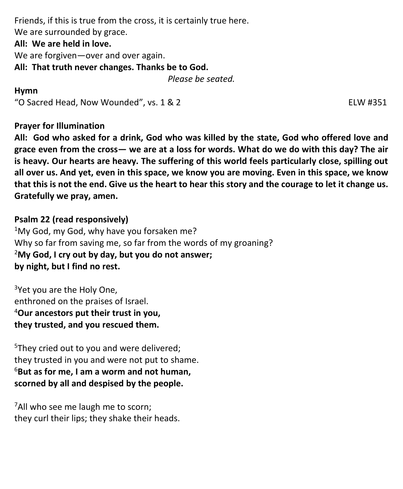Friends, if this is true from the cross, it is certainly true here. We are surrounded by grace. **All: We are held in love.**  We are forgiven—over and over again. **All: That truth never changes. Thanks be to God.** *Please be seated.*

#### **Hymn**

"O Sacred Head, Now Wounded", vs. 1 & 2 ELW #351

**Prayer for Illumination**

**All: God who asked for a drink, God who was killed by the state, God who offered love and grace even from the cross— we are at a loss for words. What do we do with this day? The air is heavy. Our hearts are heavy. The suffering of this world feels particularly close, spilling out all over us. And yet, even in this space, we know you are moving. Even in this space, we know that this is not the end. Give us the heart to hear this story and the courage to let it change us. Gratefully we pray, amen.**

**Psalm 22 (read responsively)**  $1$ My God, my God, why have you forsaken me? Why so far from saving me, so far from the words of my groaning? <sup>2</sup>**My God, I cry out by day, but you do not answer; by night, but I find no rest.**

<sup>3</sup>Yet you are the Holy One, enthroned on the praises of Israel. <sup>4</sup>**Our ancestors put their trust in you, they trusted, and you rescued them.**

<sup>5</sup>They cried out to you and were delivered; they trusted in you and were not put to shame. <sup>6</sup>**But as for me, I am a worm and not human, scorned by all and despised by the people.**

<sup>7</sup>All who see me laugh me to scorn; they curl their lips; they shake their heads.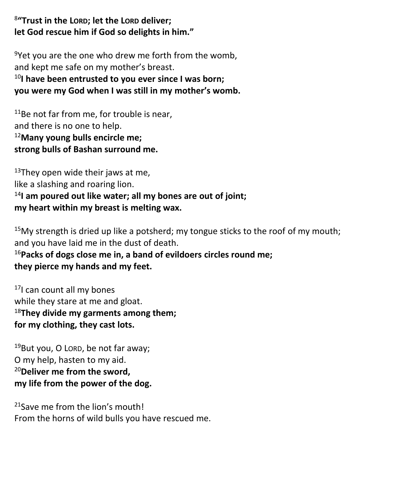8 **"Trust in the LORD; let the LORD deliver; let God rescue him if God so delights in him."**

 $9$ Yet you are the one who drew me forth from the womb, and kept me safe on my mother's breast.

<sup>10</sup>**I have been entrusted to you ever since I was born; you were my God when I was still in my mother's womb.**

<sup>11</sup>Be not far from me, for trouble is near, and there is no one to help. <sup>12</sup>**Many young bulls encircle me; strong bulls of Bashan surround me.**

 $13$ They open wide their jaws at me, like a slashing and roaring lion. <sup>14</sup>**I am poured out like water; all my bones are out of joint; my heart within my breast is melting wax.**

 $15$ My strength is dried up like a potsherd; my tongue sticks to the roof of my mouth; and you have laid me in the dust of death.

<sup>16</sup>**Packs of dogs close me in, a band of evildoers circles round me; they pierce my hands and my feet.**

17I can count all my bones while they stare at me and gloat. <sup>18</sup>**They divide my garments among them; for my clothing, they cast lots.**

<sup>19</sup>But you, O LORD, be not far away; O my help, hasten to my aid. <sup>20</sup>**Deliver me from the sword, my life from the power of the dog.**

<sup>21</sup> Save me from the lion's mouth! From the horns of wild bulls you have rescued me.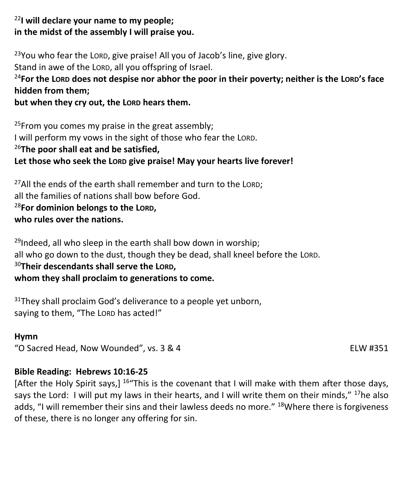## <sup>22</sup>**I will declare your name to my people; in the midst of the assembly I will praise you.**

 $23$ You who fear the LORD, give praise! All you of Jacob's line, give glory. Stand in awe of the LORD, all you offspring of Israel.

## <sup>24</sup>**For the LORD does not despise nor abhor the poor in their poverty; neither is the LORD's face hidden from them;**

## **but when they cry out, the LORD hears them.**

<sup>25</sup>From you comes my praise in the great assembly; I will perform my vows in the sight of those who fear the LORD. <sup>26</sup>**The poor shall eat and be satisfied,** Let those who seek the LORD give praise! May your hearts live forever!

 $27$ All the ends of the earth shall remember and turn to the LORD; all the families of nations shall bow before God. <sup>28</sup>**For dominion belongs to the LORD, who rules over the nations.**

 $29$ Indeed, all who sleep in the earth shall bow down in worship; all who go down to the dust, though they be dead, shall kneel before the LORD. <sup>30</sup>**Their descendants shall serve the LORD, whom they shall proclaim to generations to come.**

 $31$ They shall proclaim God's deliverance to a people yet unborn, saying to them, "The LORD has acted!"

### **Hymn**

"O Sacred Head, Now Wounded", vs. 3 & 4 ELW #351

## **Bible Reading: Hebrews 10:16-25**

[After the Holy Spirit says,] <sup>16</sup>"This is the covenant that I will make with them after those days, says the Lord: I will put my laws in their hearts, and I will write them on their minds," <sup>17</sup>he also adds. "I will remember their sins and their lawless deeds no more." <sup>18</sup>Where there is forgiveness of these, there is no longer any offering for sin.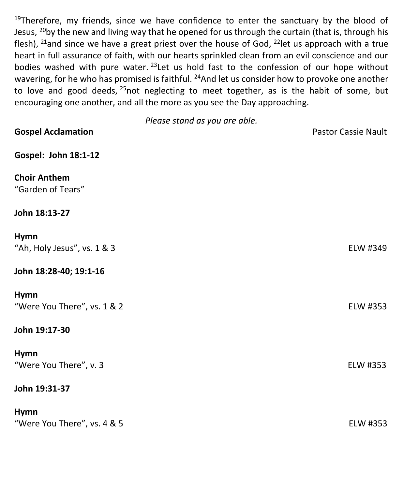$19$ Therefore, my friends, since we have confidence to enter the sanctuary by the blood of Jesus, <sup>20</sup>by the new and living way that he opened for us through the curtain (that is, through his flesh), <sup>21</sup>and since we have a great priest over the house of God, <sup>22</sup>let us approach with a true heart in full assurance of faith, with our hearts sprinkled clean from an evil conscience and our bodies washed with pure water. <sup>23</sup>Let us hold fast to the confession of our hope without wavering, for he who has promised is faithful. <sup>24</sup>And let us consider how to provoke one another to love and good deeds,  $25$  not neglecting to meet together, as is the habit of some, but encouraging one another, and all the more as you see the Day approaching.

*Please stand as you are able.* **Gospel Acclamation Contract Cassie Nault Contract Cassie Nault Pastor Cassie Nault Gospel: John 18:1-12 Choir Anthem** "Garden of Tears" **John 18:13-27 Hymn** "Ah, Holy Jesus", vs. 1 & 3 ELW #349 **John 18:28-40; 19:1-16 Hymn** "Were You There", vs. 1 & 2 ELW #353 **John 19:17-30 Hymn** "Were You There", v. 3 ELW #353 **John 19:31-37 Hymn**

| .                           |          |
|-----------------------------|----------|
| "Were You There", vs. 4 & 5 | ELW #353 |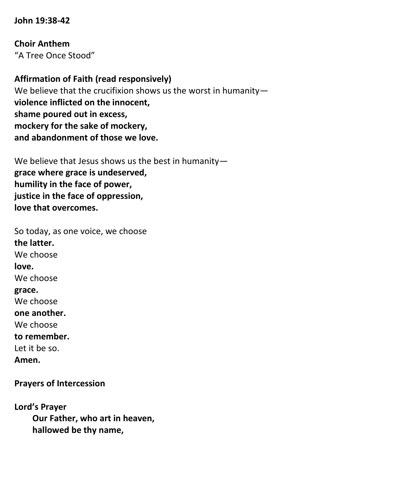#### **John 19:38-42**

**Choir Anthem** "A Tree Once Stood"

**Affirmation of Faith (read responsively)** We believe that the crucifixion shows us the worst in humanity**violence inflicted on the innocent, shame poured out in excess, mockery for the sake of mockery, and abandonment of those we love.** 

We believe that Jesus shows us the best in humanity**grace where grace is undeserved, humility in the face of power, justice in the face of oppression, love that overcomes.** 

So today, as one voice, we choose **the latter.**  We choose **love.**  We choose **grace.**  We choose **one another.**  We choose **to remember.**  Let it be so. **Amen.**

**Prayers of Intercession**

**Lord's Prayer Our Father, who art in heaven, hallowed be thy name,**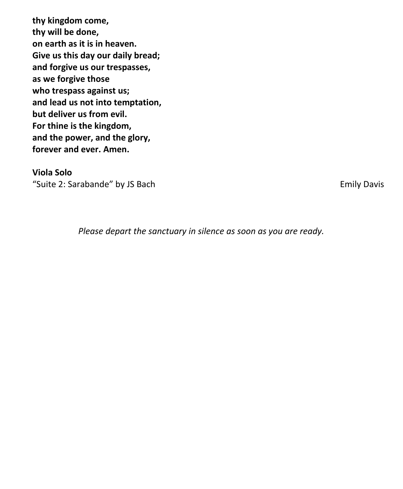**thy kingdom come, thy will be done, on earth as it is in heaven. Give us this day our daily bread; and forgive us our trespasses, as we forgive those who trespass against us; and lead us not into temptation, but deliver us from evil. For thine is the kingdom, and the power, and the glory, forever and ever. Amen.**

#### **Viola Solo**

"Suite 2: Sarabande" by JS Bach Emily Davis

*Please depart the sanctuary in silence as soon as you are ready.*